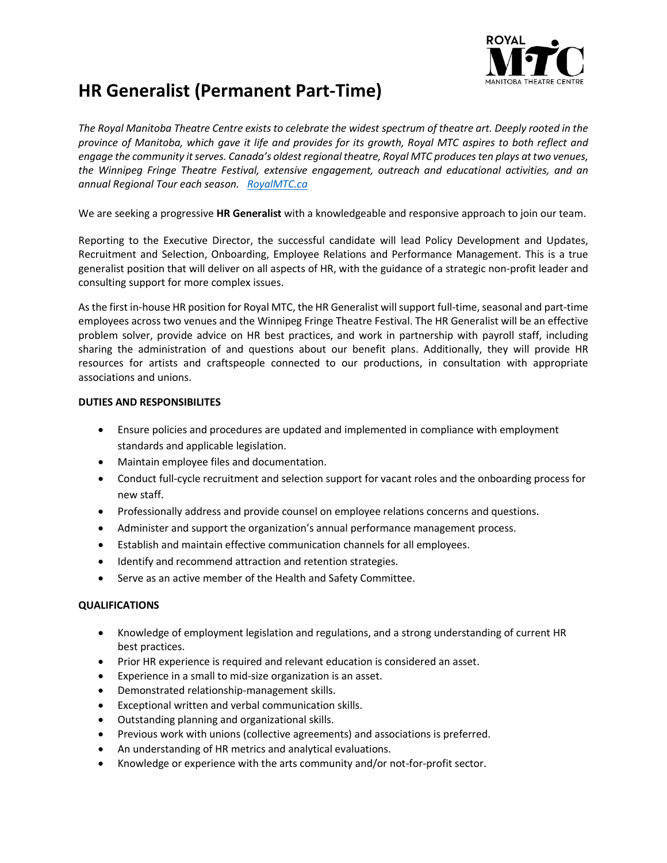

## **HR Generalist (Permanent Part-Time)**

*The Royal Manitoba Theatre Centre exists to celebrate the widest spectrum of theatre art. Deeply rooted in the province of Manitoba, which gave it life and provides for its growth, Royal MTC aspires to both reflect and engage the community it serves. Canada's oldest regional theatre, Royal MTC produces ten plays at two venues, the Winnipeg Fringe Theatre Festival, extensive engagement, outreach and educational activities, and an annual Regional Tour each season. [RoyalM](http://www.royalmtc.ca/)TC.ca*

We are seeking a progressive **HR Generalist** with a knowledgeable and responsive approach to join our team.

Reporting to the Executive Director, the successful candidate will lead Policy Development and Updates, Recruitment and Selection, Onboarding, Employee Relations and Performance Management. This is a true generalist position that will deliver on all aspects of HR, with the guidance of a strategic non-profit leader and consulting support for more complex issues.

As the first in-house HR position for Royal MTC, the HR Generalist will support full-time, seasonal and part-time employees across two venues and the Winnipeg Fringe Theatre Festival. The HR Generalist will be an effective problem solver, provide advice on HR best practices, and work in partnership with payroll staff, including sharing the administration of and questions about our benefit plans. Additionally, they will provide HR resources for artists and craftspeople connected to our productions, in consultation with appropriate associations and unions.

## **DUTIES AND RESPONSIBILITES**

- Ensure policies and procedures are updated and implemented in compliance with employment standards and applicable legislation.
- Maintain employee files and documentation.
- Conduct full-cycle recruitment and selection support for vacant roles and the onboarding process for new staff.
- Professionally address and provide counsel on employee relations concerns and questions.
- Administer and support the organization's annual performance management process.
- Establish and maintain effective communication channels for all employees.
- Identify and recommend attraction and retention strategies.
- Serve as an active member of the Health and Safety Committee.

## **QUALIFICATIONS**

- Knowledge of employment legislation and regulations, and a strong understanding of current HR best practices.
- Prior HR experience is required and relevant education is considered an asset.
- Experience in a small to mid-size organization is an asset.
- Demonstrated relationship-management skills.
- Exceptional written and verbal communication skills.
- Outstanding planning and organizational skills.
- Previous work with unions (collective agreements) and associations is preferred.
- An understanding of HR metrics and analytical evaluations.
- Knowledge or experience with the arts community and/or not-for-profit sector.